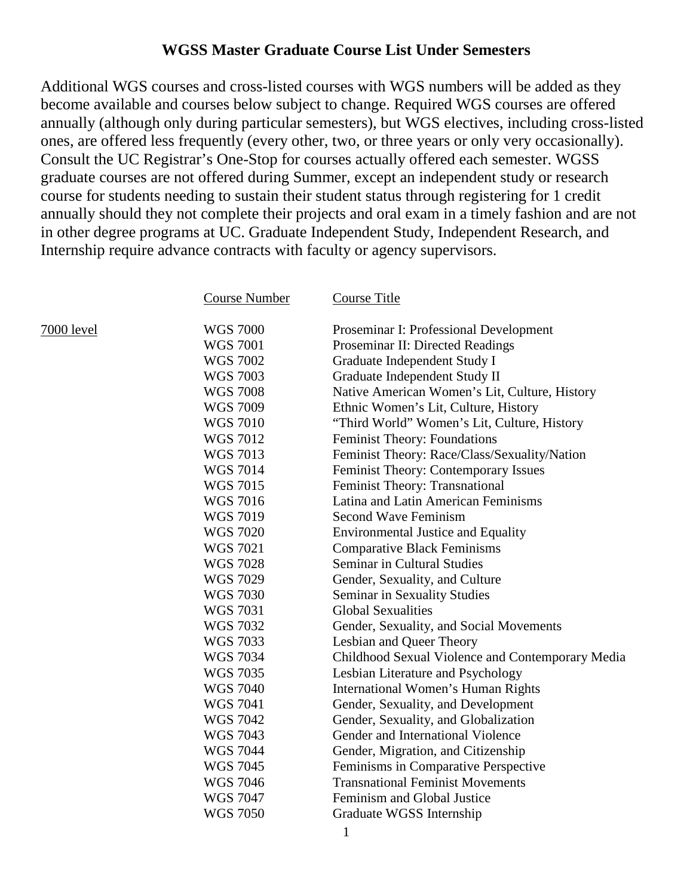## **WGSS Master Graduate Course List Under Semesters**

Additional WGS courses and cross-listed courses with WGS numbers will be added as they become available and courses below subject to change. Required WGS courses are offered annually (although only during particular semesters), but WGS electives, including cross-listed ones, are offered less frequently (every other, two, or three years or only very occasionally). Consult the UC Registrar's One-Stop for courses actually offered each semester. WGSS graduate courses are not offered during Summer, except an independent study or research course for students needing to sustain their student status through registering for 1 credit annually should they not complete their projects and oral exam in a timely fashion and are not in other degree programs at UC. Graduate Independent Study, Independent Research, and Internship require advance contracts with faculty or agency supervisors.

| <b>Course Number</b> | <b>Course Title</b>                              |
|----------------------|--------------------------------------------------|
|                      |                                                  |
| <b>WGS 7000</b>      | Proseminar I: Professional Development           |
| <b>WGS 7001</b>      | Proseminar II: Directed Readings                 |
| <b>WGS 7002</b>      | Graduate Independent Study I                     |
| <b>WGS 7003</b>      | Graduate Independent Study II                    |
| <b>WGS 7008</b>      | Native American Women's Lit, Culture, History    |
| <b>WGS 7009</b>      | Ethnic Women's Lit, Culture, History             |
| <b>WGS 7010</b>      | "Third World" Women's Lit, Culture, History      |
| <b>WGS 7012</b>      | Feminist Theory: Foundations                     |
| <b>WGS 7013</b>      | Feminist Theory: Race/Class/Sexuality/Nation     |
| <b>WGS 7014</b>      | Feminist Theory: Contemporary Issues             |
| <b>WGS 7015</b>      | Feminist Theory: Transnational                   |
| <b>WGS 7016</b>      | Latina and Latin American Feminisms              |
| <b>WGS 7019</b>      | <b>Second Wave Feminism</b>                      |
| <b>WGS 7020</b>      | <b>Environmental Justice and Equality</b>        |
| <b>WGS 7021</b>      | <b>Comparative Black Feminisms</b>               |
| <b>WGS 7028</b>      | <b>Seminar in Cultural Studies</b>               |
| <b>WGS 7029</b>      | Gender, Sexuality, and Culture                   |
| <b>WGS 7030</b>      | <b>Seminar in Sexuality Studies</b>              |
| <b>WGS 7031</b>      | <b>Global Sexualities</b>                        |
| <b>WGS 7032</b>      | Gender, Sexuality, and Social Movements          |
| <b>WGS 7033</b>      | Lesbian and Queer Theory                         |
| <b>WGS 7034</b>      | Childhood Sexual Violence and Contemporary Media |
| <b>WGS 7035</b>      | Lesbian Literature and Psychology                |
| <b>WGS 7040</b>      | International Women's Human Rights               |
| <b>WGS 7041</b>      | Gender, Sexuality, and Development               |
| <b>WGS 7042</b>      | Gender, Sexuality, and Globalization             |
| <b>WGS 7043</b>      | Gender and International Violence                |
| <b>WGS 7044</b>      | Gender, Migration, and Citizenship               |
| <b>WGS 7045</b>      | Feminisms in Comparative Perspective             |
| <b>WGS 7046</b>      | <b>Transnational Feminist Movements</b>          |
| <b>WGS 7047</b>      | Feminism and Global Justice                      |
| <b>WGS 7050</b>      | Graduate WGSS Internship                         |

 $7000$  level